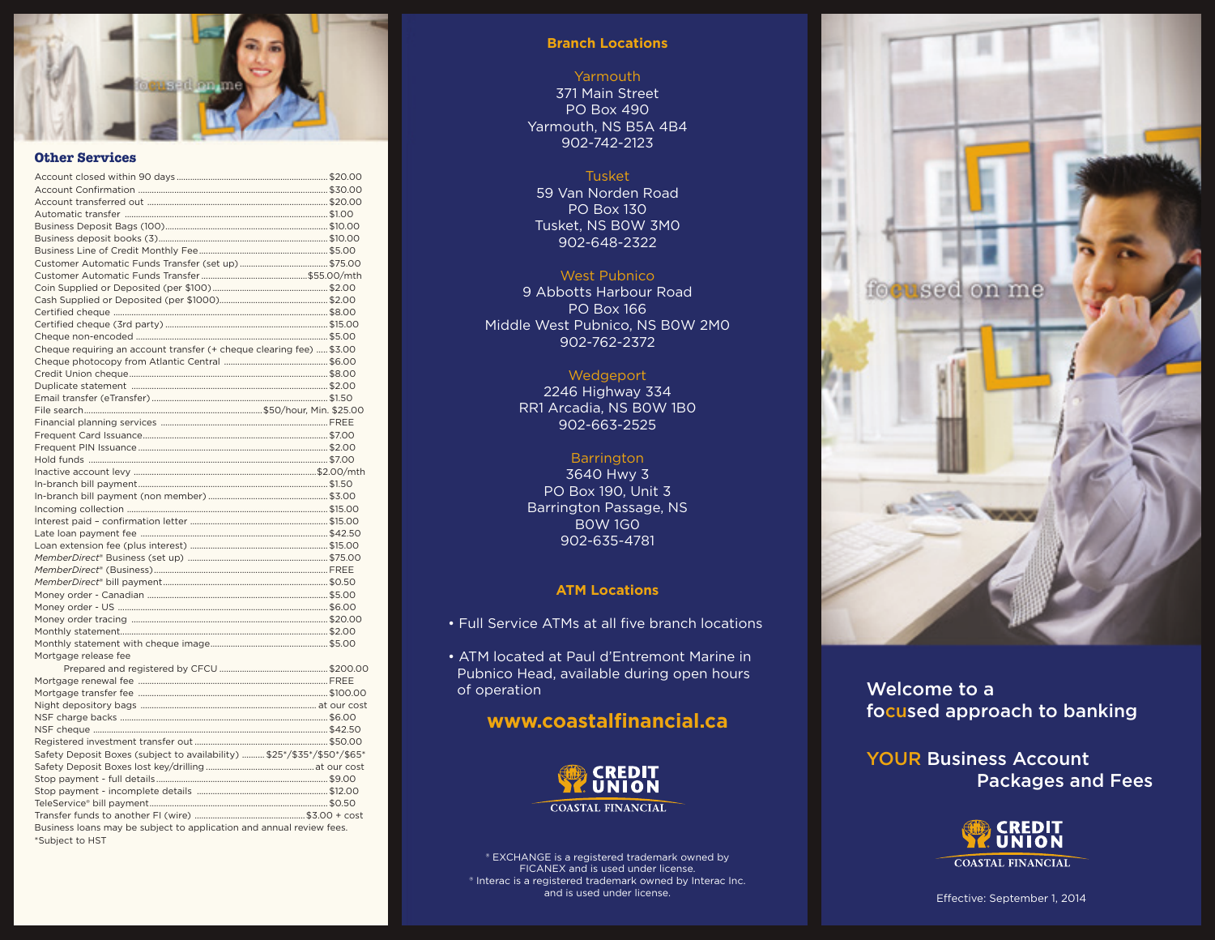

# **Other Services**

| Cheque requiring an account transfer (+ cheque clearing fee)  \$3.00    |  |
|-------------------------------------------------------------------------|--|
|                                                                         |  |
|                                                                         |  |
|                                                                         |  |
|                                                                         |  |
|                                                                         |  |
|                                                                         |  |
|                                                                         |  |
|                                                                         |  |
|                                                                         |  |
|                                                                         |  |
|                                                                         |  |
|                                                                         |  |
|                                                                         |  |
|                                                                         |  |
|                                                                         |  |
|                                                                         |  |
|                                                                         |  |
|                                                                         |  |
|                                                                         |  |
|                                                                         |  |
|                                                                         |  |
|                                                                         |  |
|                                                                         |  |
|                                                                         |  |
| Mortgage release fee                                                    |  |
|                                                                         |  |
|                                                                         |  |
|                                                                         |  |
|                                                                         |  |
|                                                                         |  |
|                                                                         |  |
|                                                                         |  |
| Safety Deposit Boxes (subject to availability)  \$25*/\$35*/\$50*/\$65* |  |
|                                                                         |  |
|                                                                         |  |
|                                                                         |  |
|                                                                         |  |
|                                                                         |  |
| Business loans may be subject to application and annual review fees.    |  |
| *Subject to HST                                                         |  |

# **Branch Locations**

Yarmouth 371 Main Street PO Box 490 Yarmouth, NS B5A 4B4 902-742-2123

# Tusket

59 Van Norden Road PO Box 130 Tusket, NS B0W 3M0 902-648-2322

# West Pubnico

9 Abbotts Harbour Road PO Box 166 Middle West Pubnico, NS B0W 2M0 902-762-2372

# Wedgeport

2246 Highway 334 RR1 Arcadia, NS B0W 1B0 902-663-2525

# **Barrington**

3640 Hwy 3 PO Box 190, Unit 3 Barrington Passage, NS B0W 1G0 902-635-4781

# **ATM Locations**

• Full Service ATMs at all five branch locations

• ATM located at Paul d'Entremont Marine in Pubnico Head, available during open hours of operation

# **www.coastalfinancial.ca**



® EXCHANGE is a registered trademark owned by FICANEX and is used under license. ® Interac is a registered trademark owned by Interac Inc. and is used under license.



Welcome to a focused approach to banking

YOUR Business Account Packages and Fees